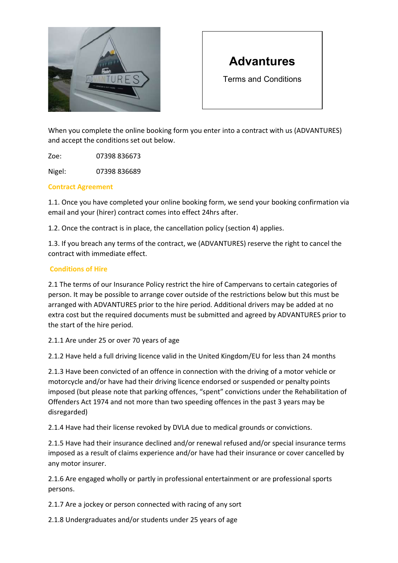

# Advantures

Terms and Conditions

When you complete the online booking form you enter into a contract with us (ADVANTURES) and accept the conditions set out below.

Zoe: 07398 836673

Nigel: 07398 836689

## Contract Agreement

1.1. Once you have completed your online booking form, we send your booking confirmation via email and your (hirer) contract comes into effect 24hrs after.

1.2. Once the contract is in place, the cancellation policy (section 4) applies.

1.3. If you breach any terms of the contract, we (ADVANTURES) reserve the right to cancel the contract with immediate effect.

## Conditions of Hire

2.1 The terms of our Insurance Policy restrict the hire of Campervans to certain categories of person. It may be possible to arrange cover outside of the restrictions below but this must be arranged with ADVANTURES prior to the hire period. Additional drivers may be added at no extra cost but the required documents must be submitted and agreed by ADVANTURES prior to the start of the hire period.

2.1.1 Are under 25 or over 70 years of age

2.1.2 Have held a full driving licence valid in the United Kingdom/EU for less than 24 months

2.1.3 Have been convicted of an offence in connection with the driving of a motor vehicle or motorcycle and/or have had their driving licence endorsed or suspended or penalty points imposed (but please note that parking offences, "spent" convictions under the Rehabilitation of Offenders Act 1974 and not more than two speeding offences in the past 3 years may be disregarded)

2.1.4 Have had their license revoked by DVLA due to medical grounds or convictions.

2.1.5 Have had their insurance declined and/or renewal refused and/or special insurance terms imposed as a result of claims experience and/or have had their insurance or cover cancelled by any motor insurer.

2.1.6 Are engaged wholly or partly in professional entertainment or are professional sports persons.

2.1.7 Are a jockey or person connected with racing of any sort

2.1.8 Undergraduates and/or students under 25 years of age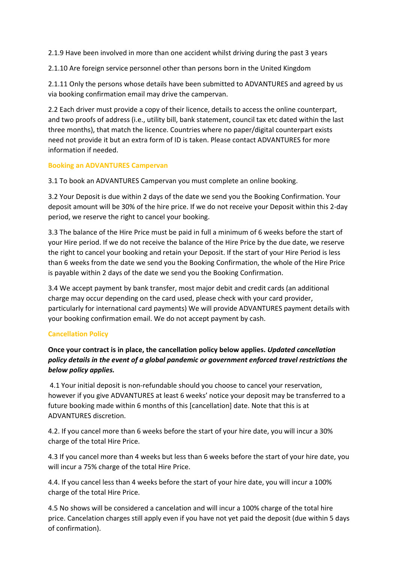2.1.9 Have been involved in more than one accident whilst driving during the past 3 years

2.1.10 Are foreign service personnel other than persons born in the United Kingdom

2.1.11 Only the persons whose details have been submitted to ADVANTURES and agreed by us via booking confirmation email may drive the campervan.

2.2 Each driver must provide a copy of their licence, details to access the online counterpart, and two proofs of address (i.e., utility bill, bank statement, council tax etc dated within the last three months), that match the licence. Countries where no paper/digital counterpart exists need not provide it but an extra form of ID is taken. Please contact ADVANTURES for more information if needed.

## Booking an ADVANTURES Campervan

3.1 To book an ADVANTURES Campervan you must complete an online booking.

3.2 Your Deposit is due within 2 days of the date we send you the Booking Confirmation. Your deposit amount will be 30% of the hire price. If we do not receive your Deposit within this 2-day period, we reserve the right to cancel your booking.

3.3 The balance of the Hire Price must be paid in full a minimum of 6 weeks before the start of your Hire period. If we do not receive the balance of the Hire Price by the due date, we reserve the right to cancel your booking and retain your Deposit. If the start of your Hire Period is less than 6 weeks from the date we send you the Booking Confirmation, the whole of the Hire Price is payable within 2 days of the date we send you the Booking Confirmation.

3.4 We accept payment by bank transfer, most major debit and credit cards (an additional charge may occur depending on the card used, please check with your card provider, particularly for international card payments) We will provide ADVANTURES payment details with your booking confirmation email. We do not accept payment by cash.

## Cancellation Policy

## Once your contract is in place, the cancellation policy below applies. Updated cancellation policy details in the event of a global pandemic or government enforced travel restrictions the below policy applies.

4.1 Your initial deposit is non-refundable should you choose to cancel your reservation, however if you give ADVANTURES at least 6 weeks' notice your deposit may be transferred to a future booking made within 6 months of this [cancellation] date. Note that this is at ADVANTURES discretion.

4.2. If you cancel more than 6 weeks before the start of your hire date, you will incur a 30% charge of the total Hire Price.

4.3 If you cancel more than 4 weeks but less than 6 weeks before the start of your hire date, you will incur a 75% charge of the total Hire Price.

4.4. If you cancel less than 4 weeks before the start of your hire date, you will incur a 100% charge of the total Hire Price.

4.5 No shows will be considered a cancelation and will incur a 100% charge of the total hire price. Cancelation charges still apply even if you have not yet paid the deposit (due within 5 days of confirmation).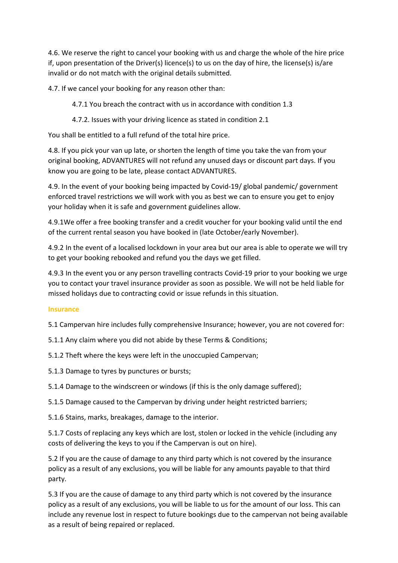4.6. We reserve the right to cancel your booking with us and charge the whole of the hire price if, upon presentation of the Driver(s) licence(s) to us on the day of hire, the license(s) is/are invalid or do not match with the original details submitted.

4.7. If we cancel your booking for any reason other than:

4.7.1 You breach the contract with us in accordance with condition 1.3

4.7.2. Issues with your driving licence as stated in condition 2.1

You shall be entitled to a full refund of the total hire price.

4.8. If you pick your van up late, or shorten the length of time you take the van from your original booking, ADVANTURES will not refund any unused days or discount part days. If you know you are going to be late, please contact ADVANTURES.

4.9. In the event of your booking being impacted by Covid-19/ global pandemic/ government enforced travel restrictions we will work with you as best we can to ensure you get to enjoy your holiday when it is safe and government guidelines allow.

4.9.1We offer a free booking transfer and a credit voucher for your booking valid until the end of the current rental season you have booked in (late October/early November).

4.9.2 In the event of a localised lockdown in your area but our area is able to operate we will try to get your booking rebooked and refund you the days we get filled.

4.9.3 In the event you or any person travelling contracts Covid-19 prior to your booking we urge you to contact your travel insurance provider as soon as possible. We will not be held liable for missed holidays due to contracting covid or issue refunds in this situation.

## Insurance

5.1 Campervan hire includes fully comprehensive Insurance; however, you are not covered for:

5.1.1 Any claim where you did not abide by these Terms & Conditions;

5.1.2 Theft where the keys were left in the unoccupied Campervan;

5.1.3 Damage to tyres by punctures or bursts;

5.1.4 Damage to the windscreen or windows (if this is the only damage suffered);

5.1.5 Damage caused to the Campervan by driving under height restricted barriers;

5.1.6 Stains, marks, breakages, damage to the interior.

5.1.7 Costs of replacing any keys which are lost, stolen or locked in the vehicle (including any costs of delivering the keys to you if the Campervan is out on hire).

5.2 If you are the cause of damage to any third party which is not covered by the insurance policy as a result of any exclusions, you will be liable for any amounts payable to that third party.

5.3 If you are the cause of damage to any third party which is not covered by the insurance policy as a result of any exclusions, you will be liable to us for the amount of our loss. This can include any revenue lost in respect to future bookings due to the campervan not being available as a result of being repaired or replaced.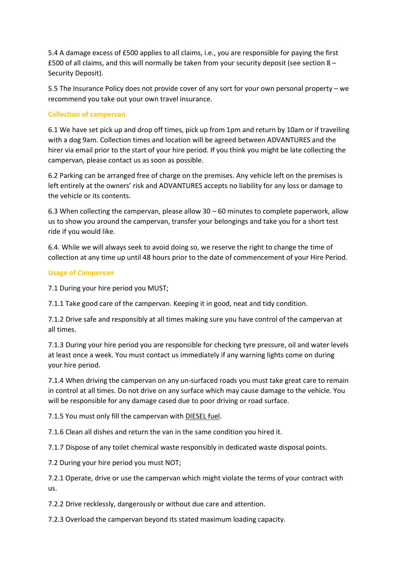5.4 A damage excess of £500 applies to all claims, i.e., you are responsible for paying the first £500 of all claims, and this will normally be taken from your security deposit (see section 8 – Security Deposit).

5.5 The Insurance Policy does not provide cover of any sort for your own personal property – we recommend you take out your own travel insurance.

## Collection of campervan

6.1 We have set pick up and drop off times, pick up from 1pm and return by 10am or if travelling with a dog 9am. Collection times and location will be agreed between ADVANTURES and the hirer via email prior to the start of your hire period. If you think you might be late collecting the campervan, please contact us as soon as possible.

6.2 Parking can be arranged free of charge on the premises. Any vehicle left on the premises is left entirely at the owners' risk and ADVANTURES accepts no liability for any loss or damage to the vehicle or its contents.

6.3 When collecting the campervan, please allow 30 – 60 minutes to complete paperwork, allow us to show you around the campervan, transfer your belongings and take you for a short test ride if you would like.

6.4. While we will always seek to avoid doing so, we reserve the right to change the time of collection at any time up until 48 hours prior to the date of commencement of your Hire Period.

## Usage of Campervan

7.1 During your hire period you MUST;

7.1.1 Take good care of the campervan. Keeping it in good, neat and tidy condition.

7.1.2 Drive safe and responsibly at all times making sure you have control of the campervan at all times.

7.1.3 During your hire period you are responsible for checking tyre pressure, oil and water levels at least once a week. You must contact us immediately if any warning lights come on during your hire period.

7.1.4 When driving the campervan on any un-surfaced roads you must take great care to remain in control at all times. Do not drive on any surface which may cause damage to the vehicle. You will be responsible for any damage cased due to poor driving or road surface.

7.1.5 You must only fill the campervan with DIESEL fuel.

7.1.6 Clean all dishes and return the van in the same condition you hired it.

7.1.7 Dispose of any toilet chemical waste responsibly in dedicated waste disposal points.

7.2 During your hire period you must NOT;

7.2.1 Operate, drive or use the campervan which might violate the terms of your contract with us.

7.2.2 Drive recklessly, dangerously or without due care and attention.

7.2.3 Overload the campervan beyond its stated maximum loading capacity.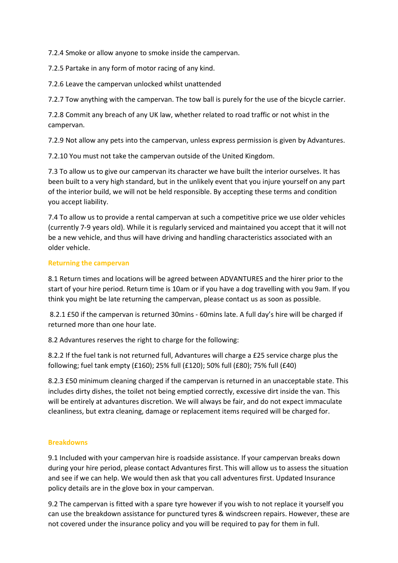7.2.4 Smoke or allow anyone to smoke inside the campervan.

7.2.5 Partake in any form of motor racing of any kind.

7.2.6 Leave the campervan unlocked whilst unattended

7.2.7 Tow anything with the campervan. The tow ball is purely for the use of the bicycle carrier.

7.2.8 Commit any breach of any UK law, whether related to road traffic or not whist in the campervan.

7.2.9 Not allow any pets into the campervan, unless express permission is given by Advantures.

7.2.10 You must not take the campervan outside of the United Kingdom.

7.3 To allow us to give our campervan its character we have built the interior ourselves. It has been built to a very high standard, but in the unlikely event that you injure yourself on any part of the interior build, we will not be held responsible. By accepting these terms and condition you accept liability.

7.4 To allow us to provide a rental campervan at such a competitive price we use older vehicles (currently 7-9 years old). While it is regularly serviced and maintained you accept that it will not be a new vehicle, and thus will have driving and handling characteristics associated with an older vehicle.

## Returning the campervan

8.1 Return times and locations will be agreed between ADVANTURES and the hirer prior to the start of your hire period. Return time is 10am or if you have a dog travelling with you 9am. If you think you might be late returning the campervan, please contact us as soon as possible.

 8.2.1 £50 if the campervan is returned 30mins - 60mins late. A full day's hire will be charged if returned more than one hour late.

8.2 Advantures reserves the right to charge for the following:

8.2.2 If the fuel tank is not returned full, Advantures will charge a £25 service charge plus the following; fuel tank empty (£160); 25% full (£120); 50% full (£80); 75% full (£40)

8.2.3 £50 minimum cleaning charged if the campervan is returned in an unacceptable state. This includes dirty dishes, the toilet not being emptied correctly, excessive dirt inside the van. This will be entirely at advantures discretion. We will always be fair, and do not expect immaculate cleanliness, but extra cleaning, damage or replacement items required will be charged for.

## **Breakdowns**

9.1 Included with your campervan hire is roadside assistance. If your campervan breaks down during your hire period, please contact Advantures first. This will allow us to assess the situation and see if we can help. We would then ask that you call adventures first. Updated Insurance policy details are in the glove box in your campervan.

9.2 The campervan is fitted with a spare tyre however if you wish to not replace it yourself you can use the breakdown assistance for punctured tyres & windscreen repairs. However, these are not covered under the insurance policy and you will be required to pay for them in full.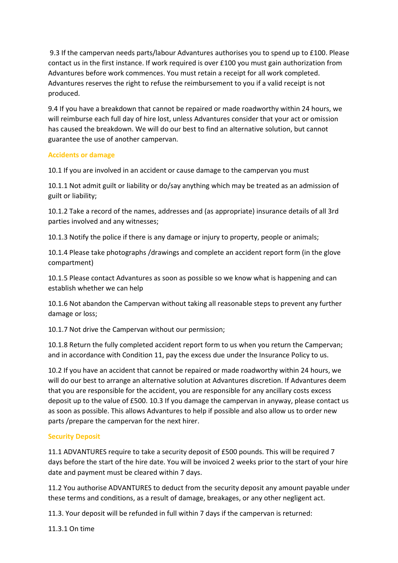9.3 If the campervan needs parts/labour Advantures authorises you to spend up to £100. Please contact us in the first instance. If work required is over £100 you must gain authorization from Advantures before work commences. You must retain a receipt for all work completed. Advantures reserves the right to refuse the reimbursement to you if a valid receipt is not produced.

9.4 If you have a breakdown that cannot be repaired or made roadworthy within 24 hours, we will reimburse each full day of hire lost, unless Advantures consider that your act or omission has caused the breakdown. We will do our best to find an alternative solution, but cannot guarantee the use of another campervan.

## Accidents or damage

10.1 If you are involved in an accident or cause damage to the campervan you must

10.1.1 Not admit guilt or liability or do/say anything which may be treated as an admission of guilt or liability;

10.1.2 Take a record of the names, addresses and (as appropriate) insurance details of all 3rd parties involved and any witnesses;

10.1.3 Notify the police if there is any damage or injury to property, people or animals;

10.1.4 Please take photographs /drawings and complete an accident report form (in the glove compartment)

10.1.5 Please contact Advantures as soon as possible so we know what is happening and can establish whether we can help

10.1.6 Not abandon the Campervan without taking all reasonable steps to prevent any further damage or loss;

10.1.7 Not drive the Campervan without our permission;

10.1.8 Return the fully completed accident report form to us when you return the Campervan; and in accordance with Condition 11, pay the excess due under the Insurance Policy to us.

10.2 If you have an accident that cannot be repaired or made roadworthy within 24 hours, we will do our best to arrange an alternative solution at Advantures discretion. If Advantures deem that you are responsible for the accident, you are responsible for any ancillary costs excess deposit up to the value of £500. 10.3 If you damage the campervan in anyway, please contact us as soon as possible. This allows Advantures to help if possible and also allow us to order new parts /prepare the campervan for the next hirer.

## Security Deposit

11.1 ADVANTURES require to take a security deposit of £500 pounds. This will be required 7 days before the start of the hire date. You will be invoiced 2 weeks prior to the start of your hire date and payment must be cleared within 7 days.

11.2 You authorise ADVANTURES to deduct from the security deposit any amount payable under these terms and conditions, as a result of damage, breakages, or any other negligent act.

11.3. Your deposit will be refunded in full within 7 days if the campervan is returned:

11.3.1 On time